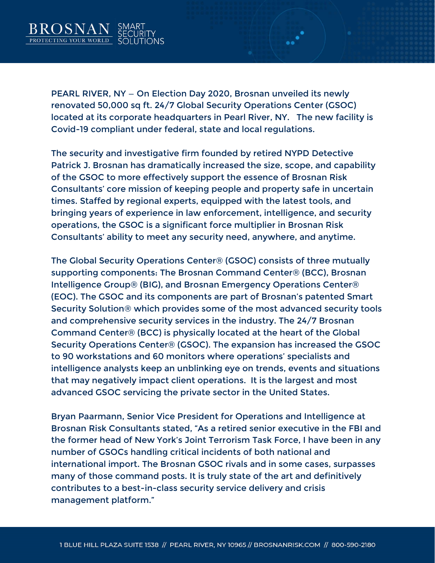

PEARL RIVER, NY — On Election Day 2020, Brosnan unveiled its newly renovated 50,000 sq ft. 24/7 Global Security Operations Center (GSOC) located at its corporate headquarters in Pearl River, NY. The new facility is Covid-19 compliant under federal, state and local regulations.

The security and investigative firm founded by retired NYPD Detective Patrick J. Brosnan has dramatically increased the size, scope, and capability of the GSOC to more effectively support the essence of Brosnan Risk Consultants' core mission of keeping people and property safe in uncertain times. Staffed by regional experts, equipped with the latest tools, and bringing years of experience in law enforcement, intelligence, and security operations, the GSOC is a significant force multiplier in Brosnan Risk Consultants' ability to meet any security need, anywhere, and anytime.

The Global Security Operations Center® (GSOC) consists of three mutually supporting components: The Brosnan Command Center® (BCC), Brosnan Intelligence Group® (BIG), and Brosnan Emergency Operations Center® (EOC). The GSOC and its components are part of Brosnan's patented Smart Security Solution® which provides some of the most advanced security tools and comprehensive security services in the industry. The 24/7 Brosnan Command Center® (BCC) is physically located at the heart of the Global Security Operations Center® (GSOC). The expansion has increased the GSOC to 90 workstations and 60 monitors where operations' specialists and intelligence analysts keep an unblinking eye on trends, events and situations that may negatively impact client operations. It is the largest and most advanced GSOC servicing the private sector in the United States.

Bryan Paarmann, Senior Vice President for Operations and Intelligence at Brosnan Risk Consultants stated, "As a retired senior executive in the FBI and the former head of New York's Joint Terrorism Task Force, I have been in any number of GSOCs handling critical incidents of both national and international import. The Brosnan GSOC rivals and in some cases, surpasses many of those command posts. It is truly state of the art and definitively contributes to a best-in-class security service delivery and crisis management platform."